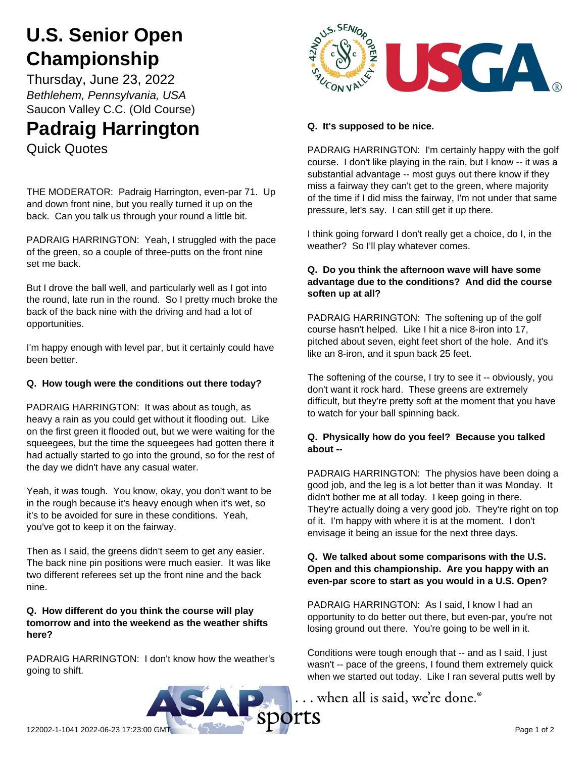# **U.S. Senior Open Championship**

Thursday, June 23, 2022 *Bethlehem, Pennsylvania, USA* Saucon Valley C.C. (Old Course)

# **Padraig Harrington**

Quick Quotes

THE MODERATOR: Padraig Harrington, even-par 71. Up and down front nine, but you really turned it up on the back. Can you talk us through your round a little bit.

PADRAIG HARRINGTON: Yeah, I struggled with the pace of the green, so a couple of three-putts on the front nine set me back.

But I drove the ball well, and particularly well as I got into the round, late run in the round. So I pretty much broke the back of the back nine with the driving and had a lot of opportunities.

I'm happy enough with level par, but it certainly could have been better.

# **Q. How tough were the conditions out there today?**

PADRAIG HARRINGTON: It was about as tough, as heavy a rain as you could get without it flooding out. Like on the first green it flooded out, but we were waiting for the squeegees, but the time the squeegees had gotten there it had actually started to go into the ground, so for the rest of the day we didn't have any casual water.

Yeah, it was tough. You know, okay, you don't want to be in the rough because it's heavy enough when it's wet, so it's to be avoided for sure in these conditions. Yeah, you've got to keep it on the fairway.

Then as I said, the greens didn't seem to get any easier. The back nine pin positions were much easier. It was like two different referees set up the front nine and the back nine.

#### **Q. How different do you think the course will play tomorrow and into the weekend as the weather shifts here?**

PADRAIG HARRINGTON: I don't know how the weather's going to shift.



# **Q. It's supposed to be nice.**

PADRAIG HARRINGTON: I'm certainly happy with the golf course. I don't like playing in the rain, but I know -- it was a substantial advantage -- most guys out there know if they miss a fairway they can't get to the green, where majority of the time if I did miss the fairway, I'm not under that same pressure, let's say. I can still get it up there.

I think going forward I don't really get a choice, do I, in the weather? So I'll play whatever comes.

#### **Q. Do you think the afternoon wave will have some advantage due to the conditions? And did the course soften up at all?**

PADRAIG HARRINGTON: The softening up of the golf course hasn't helped. Like I hit a nice 8-iron into 17, pitched about seven, eight feet short of the hole. And it's like an 8-iron, and it spun back 25 feet.

The softening of the course, I try to see it -- obviously, you don't want it rock hard. These greens are extremely difficult, but they're pretty soft at the moment that you have to watch for your ball spinning back.

### **Q. Physically how do you feel? Because you talked about --**

PADRAIG HARRINGTON: The physios have been doing a good job, and the leg is a lot better than it was Monday. It didn't bother me at all today. I keep going in there. They're actually doing a very good job. They're right on top of it. I'm happy with where it is at the moment. I don't envisage it being an issue for the next three days.

#### **Q. We talked about some comparisons with the U.S. Open and this championship. Are you happy with an even-par score to start as you would in a U.S. Open?**

PADRAIG HARRINGTON: As I said, I know I had an opportunity to do better out there, but even-par, you're not losing ground out there. You're going to be well in it.

Conditions were tough enough that -- and as I said, I just wasn't -- pace of the greens, I found them extremely quick when we started out today. Like I ran several putts well by

.. when all is said, we're done.